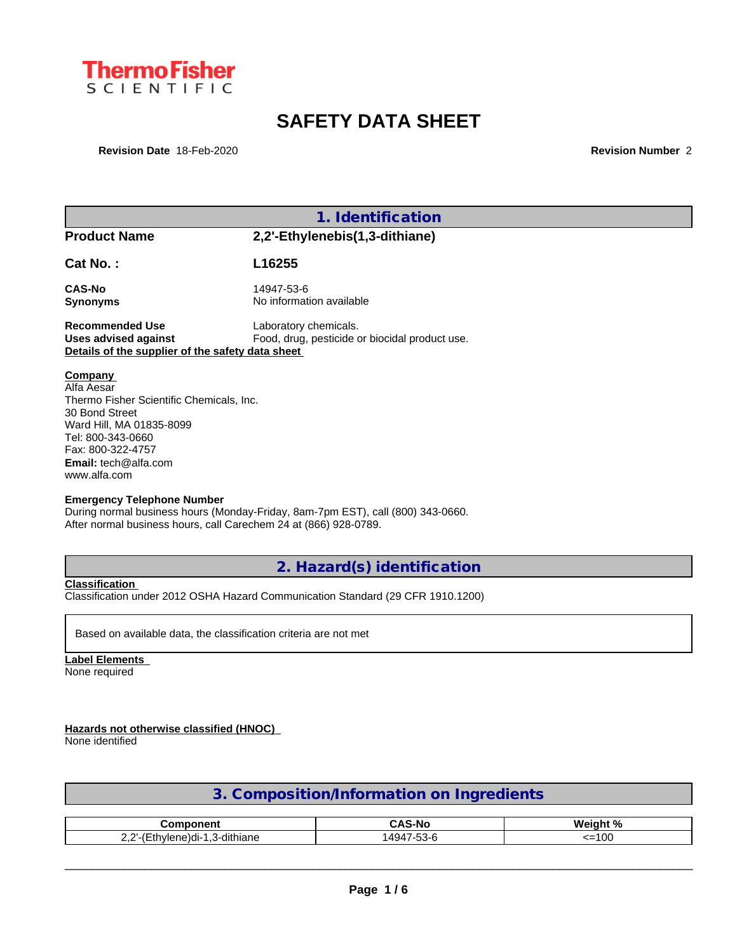

## **SAFETY DATA SHEET**

**Revision Date** 18-Feb-2020 **Revision Number** 2

|                                                                                                                                                                                                                                        | 1. Identification                                                               |  |
|----------------------------------------------------------------------------------------------------------------------------------------------------------------------------------------------------------------------------------------|---------------------------------------------------------------------------------|--|
| <b>Product Name</b>                                                                                                                                                                                                                    | 2,2'-Ethylenebis(1,3-dithiane)                                                  |  |
| Cat No.:                                                                                                                                                                                                                               | L16255                                                                          |  |
| <b>CAS-No</b>                                                                                                                                                                                                                          | 14947-53-6                                                                      |  |
| <b>Synonyms</b>                                                                                                                                                                                                                        | No information available                                                        |  |
| <b>Recommended Use</b>                                                                                                                                                                                                                 | Laboratory chemicals.                                                           |  |
| <b>Uses advised against</b><br>Details of the supplier of the safety data sheet                                                                                                                                                        | Food, drug, pesticide or biocidal product use.                                  |  |
| Company<br>Alfa Aesar<br>Thermo Fisher Scientific Chemicals, Inc.<br>30 Bond Street<br>Ward Hill, MA 01835-8099<br>Tel: 800-343-0660<br>Fax: 800-322-4757<br>Email: tech@alfa.com<br>www.alfa.com<br><b>Emergency Telephone Number</b> | During normal business hours (Monday-Friday, 8am-7pm EST), call (800) 343-0660. |  |

**2. Hazard(s) identification**

**Classification**

Classification under 2012 OSHA Hazard Communication Standard (29 CFR 1910.1200)

Based on available data, the classification criteria are not met

**Label Elements** None required

**Hazards not otherwise classified (HNOC)**

None identified

| 3. Composition/Information on Ingredients |  |
|-------------------------------------------|--|
|                                           |  |

| amnanant                                         | $\ddot{\phantom{1}}$<br>$\cdot$ $\sim$<br>--<br>--<br>. . | 1. N /<br><b>Wainh</b> |  |
|--------------------------------------------------|-----------------------------------------------------------|------------------------|--|
| $\sim$ $\sim$<br>dithiane<br>$\cdots$<br><br>--- | $\overline{\phantom{0}}$<br>494<br><br>ື                  | $\sim$<br>i UC<br>.    |  |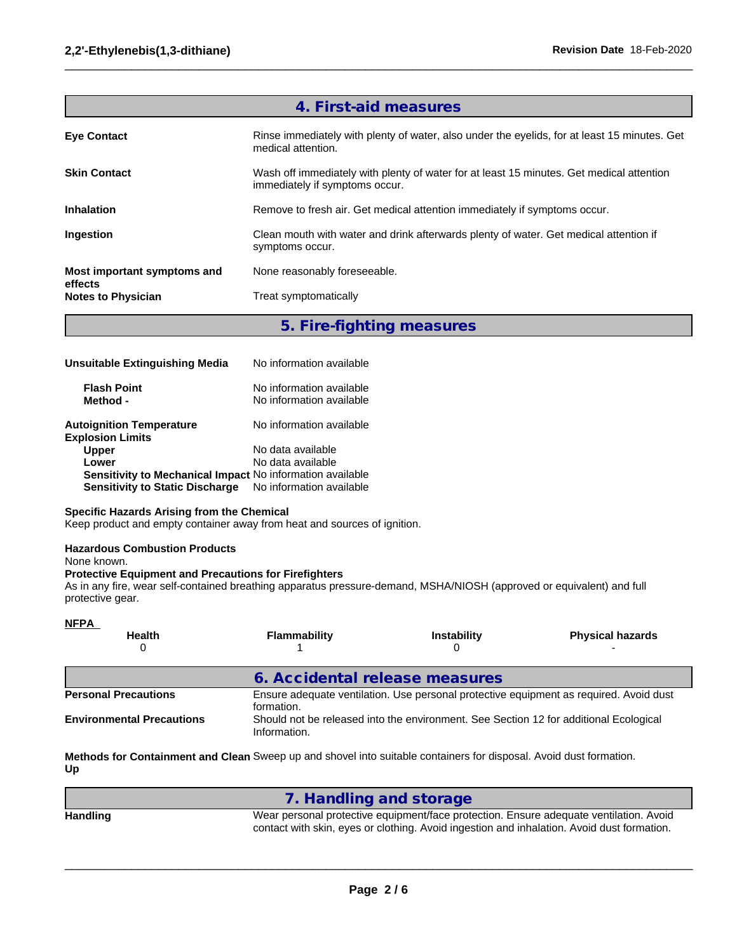|                                      | 4. First-aid measures                                                                                                      |
|--------------------------------------|----------------------------------------------------------------------------------------------------------------------------|
| <b>Eye Contact</b>                   | Rinse immediately with plenty of water, also under the eyelids, for at least 15 minutes. Get<br>medical attention.         |
| <b>Skin Contact</b>                  | Wash off immediately with plenty of water for at least 15 minutes. Get medical attention<br>immediately if symptoms occur. |
| <b>Inhalation</b>                    | Remove to fresh air. Get medical attention immediately if symptoms occur.                                                  |
| Ingestion                            | Clean mouth with water and drink afterwards plenty of water. Get medical attention if<br>symptoms occur.                   |
| Most important symptoms and          | None reasonably foreseeable.                                                                                               |
| effects<br><b>Notes to Physician</b> | Treat symptomatically                                                                                                      |
|                                      |                                                                                                                            |

 $\_$  ,  $\_$  ,  $\_$  ,  $\_$  ,  $\_$  ,  $\_$  ,  $\_$  ,  $\_$  ,  $\_$  ,  $\_$  ,  $\_$  ,  $\_$  ,  $\_$  ,  $\_$  ,  $\_$  ,  $\_$  ,  $\_$  ,  $\_$  ,  $\_$  ,  $\_$  ,  $\_$  ,  $\_$  ,  $\_$  ,  $\_$  ,  $\_$  ,  $\_$  ,  $\_$  ,  $\_$  ,  $\_$  ,  $\_$  ,  $\_$  ,  $\_$  ,  $\_$  ,  $\_$  ,  $\_$  ,  $\_$  ,  $\_$  ,

### **5. Fire-fighting measures**

| Unsuitable Extinguishing Media                             | No information available                             |
|------------------------------------------------------------|------------------------------------------------------|
| <b>Flash Point</b><br>Method -                             | No information available<br>No information available |
| <b>Autoignition Temperature</b><br><b>Explosion Limits</b> | No information available                             |
| <b>Upper</b>                                               | No data available                                    |
| Lower                                                      | No data available                                    |
| Sensitivity to Mechanical Impact No information available  |                                                      |
| <b>Sensitivity to Static Discharge</b>                     | No information available                             |

### **Specific Hazards Arising from the Chemical**

Keep product and empty container away from heat and sources of ignition.

### **Hazardous Combustion Products**

None known.

### **Protective Equipment and Precautions for Firefighters**

As in any fire, wear self-contained breathing apparatus pressure-demand, MSHA/NIOSH (approved or equivalent) and full protective gear.

| <b>NFPA</b>                      |                                |                                                                                       |                                                                                        |
|----------------------------------|--------------------------------|---------------------------------------------------------------------------------------|----------------------------------------------------------------------------------------|
| <b>Health</b>                    | <b>Flammability</b>            | <b>Instability</b>                                                                    | <b>Physical hazards</b>                                                                |
|                                  | 6. Accidental release measures |                                                                                       |                                                                                        |
| <b>Personal Precautions</b>      | formation.                     |                                                                                       | Ensure adequate ventilation. Use personal protective equipment as required. Avoid dust |
| <b>Environmental Precautions</b> | Information.                   | Should not be released into the environment. See Section 12 for additional Ecological |                                                                                        |

**Methods for Containment and Clean** Sweep up and shovel into suitable containers for disposal. Avoid dust formation. **Up**

|          | 7. Handling and storage                                                                                                                                                              |
|----------|--------------------------------------------------------------------------------------------------------------------------------------------------------------------------------------|
| Handling | Wear personal protective equipment/face protection. Ensure adequate ventilation. Avoid<br>contact with skin, eyes or clothing. Avoid ingestion and inhalation. Avoid dust formation. |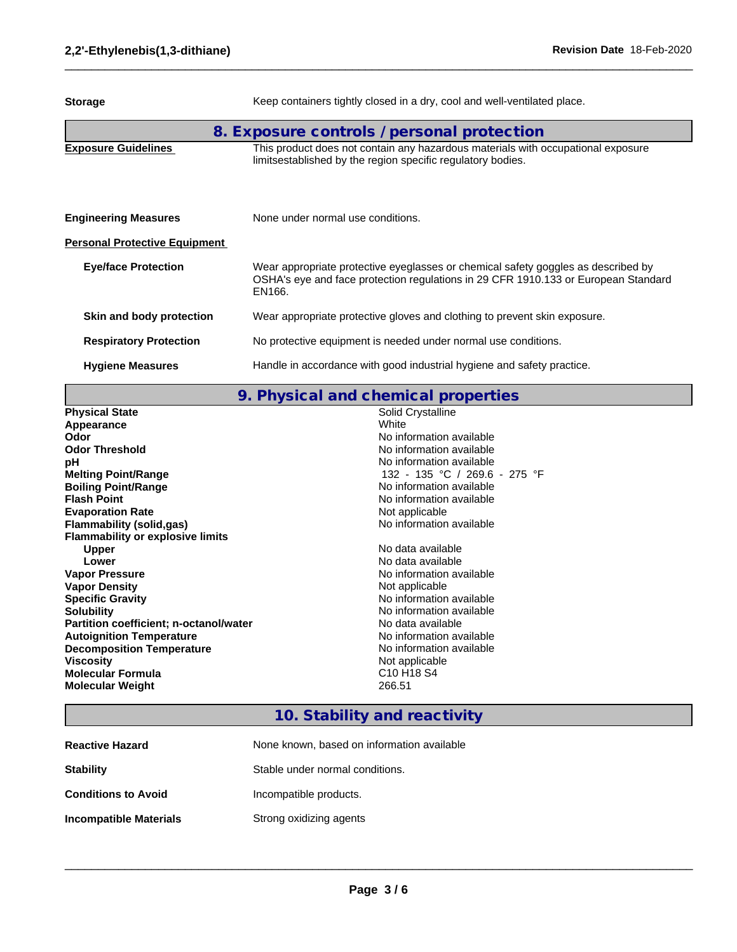| <b>Storage</b>                       | Keep containers tightly closed in a dry, cool and well-ventilated place.                                                                                                          |
|--------------------------------------|-----------------------------------------------------------------------------------------------------------------------------------------------------------------------------------|
|                                      | 8. Exposure controls / personal protection                                                                                                                                        |
| <b>Exposure Guidelines</b>           | This product does not contain any hazardous materials with occupational exposure<br>limitsestablished by the region specific regulatory bodies.                                   |
| <b>Engineering Measures</b>          | None under normal use conditions.                                                                                                                                                 |
| <b>Personal Protective Equipment</b> |                                                                                                                                                                                   |
| <b>Eye/face Protection</b>           | Wear appropriate protective eyeglasses or chemical safety goggles as described by<br>OSHA's eye and face protection regulations in 29 CFR 1910.133 or European Standard<br>EN166. |
| Skin and body protection             | Wear appropriate protective gloves and clothing to prevent skin exposure.                                                                                                         |
| <b>Respiratory Protection</b>        | No protective equipment is needed under normal use conditions.                                                                                                                    |
| <b>Hygiene Measures</b>              | Handle in accordance with good industrial hygiene and safety practice.                                                                                                            |
|                                      |                                                                                                                                                                                   |

 $\_$  ,  $\_$  ,  $\_$  ,  $\_$  ,  $\_$  ,  $\_$  ,  $\_$  ,  $\_$  ,  $\_$  ,  $\_$  ,  $\_$  ,  $\_$  ,  $\_$  ,  $\_$  ,  $\_$  ,  $\_$  ,  $\_$  ,  $\_$  ,  $\_$  ,  $\_$  ,  $\_$  ,  $\_$  ,  $\_$  ,  $\_$  ,  $\_$  ,  $\_$  ,  $\_$  ,  $\_$  ,  $\_$  ,  $\_$  ,  $\_$  ,  $\_$  ,  $\_$  ,  $\_$  ,  $\_$  ,  $\_$  ,  $\_$  ,

# **9. Physical and chemical properties**

| <b>Physical State</b>                         | Solid Crystalline                              |
|-----------------------------------------------|------------------------------------------------|
| Appearance                                    | White                                          |
| Odor                                          | No information available                       |
| <b>Odor Threshold</b>                         | No information available                       |
| рH                                            | No information available                       |
| <b>Melting Point/Range</b>                    | 132 - 135 °C / 269.6 - 275 °F                  |
| <b>Boiling Point/Range</b>                    | No information available                       |
| <b>Flash Point</b>                            | No information available                       |
| <b>Evaporation Rate</b>                       | Not applicable                                 |
| Flammability (solid,gas)                      | No information available                       |
| <b>Flammability or explosive limits</b>       |                                                |
| Upper                                         | No data available                              |
| Lower                                         | No data available                              |
| <b>Vapor Pressure</b>                         | No information available                       |
| <b>Vapor Density</b>                          | Not applicable                                 |
| <b>Specific Gravity</b>                       | No information available                       |
| <b>Solubility</b>                             | No information available                       |
| <b>Partition coefficient; n-octanol/water</b> | No data available                              |
| <b>Autoignition Temperature</b>               | No information available                       |
| <b>Decomposition Temperature</b>              | No information available                       |
| <b>Viscosity</b>                              | Not applicable                                 |
| <b>Molecular Formula</b>                      | C <sub>10</sub> H <sub>18</sub> S <sub>4</sub> |
| <b>Molecular Weight</b>                       | 266.51                                         |
|                                               |                                                |

### **10. Stability and reactivity**

| <b>Reactive Hazard</b>     | None known, based on information available |
|----------------------------|--------------------------------------------|
| <b>Stability</b>           | Stable under normal conditions.            |
| <b>Conditions to Avoid</b> | Incompatible products.                     |
| Incompatible Materials     | Strong oxidizing agents                    |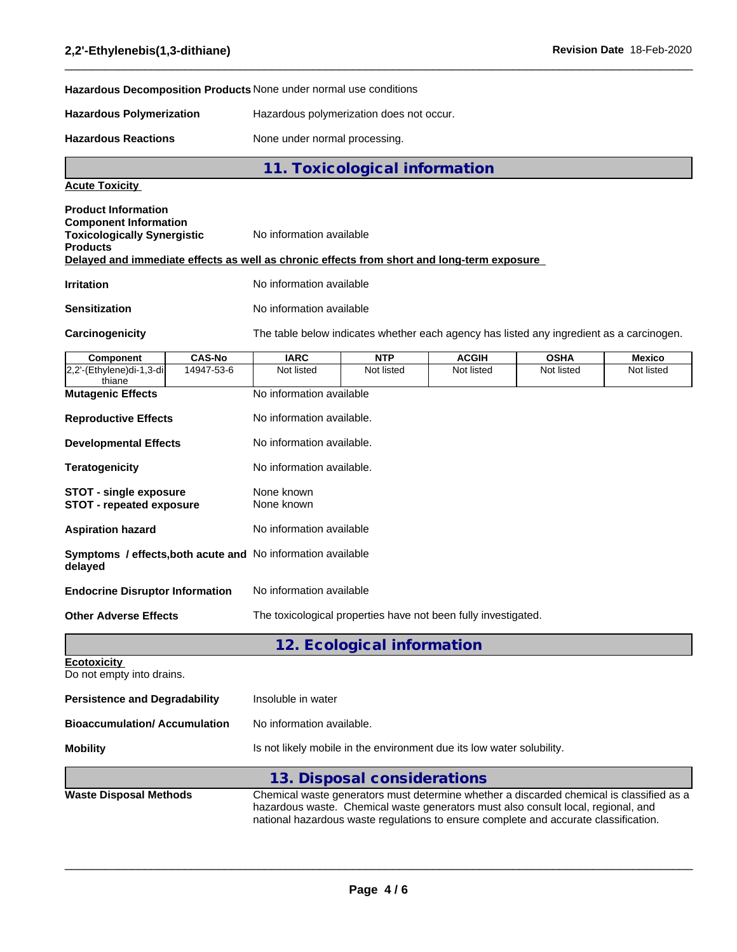**Hazardous Decomposition Products** None under normal use conditions

**Hazardous Polymerization** Hazardous polymerization does not occur.

Hazardous Reactions **None under normal processing**.

**11. Toxicological information**

 $\_$  ,  $\_$  ,  $\_$  ,  $\_$  ,  $\_$  ,  $\_$  ,  $\_$  ,  $\_$  ,  $\_$  ,  $\_$  ,  $\_$  ,  $\_$  ,  $\_$  ,  $\_$  ,  $\_$  ,  $\_$  ,  $\_$  ,  $\_$  ,  $\_$  ,  $\_$  ,  $\_$  ,  $\_$  ,  $\_$  ,  $\_$  ,  $\_$  ,  $\_$  ,  $\_$  ,  $\_$  ,  $\_$  ,  $\_$  ,  $\_$  ,  $\_$  ,  $\_$  ,  $\_$  ,  $\_$  ,  $\_$  ,  $\_$  ,

### **Acute Toxicity**

| <b>Product Information</b><br><b>Component Information</b><br><b>Toxicologically Synergistic</b><br><b>Products</b> | No information available<br>Delayed and immediate effects as well as chronic effects from short and long-term exposure |
|---------------------------------------------------------------------------------------------------------------------|------------------------------------------------------------------------------------------------------------------------|
| <b>Irritation</b>                                                                                                   | No information available                                                                                               |
| <b>Sensitization</b>                                                                                                | No information available                                                                                               |

I

Carcinogenicity The table below indicates whether each agency has listed any ingredient as a carcinogen.

| <b>Component</b>                                                 | <b>CAS-No</b> | <b>IARC</b>                                                                                                                                                                                                                                                           | <b>NTP</b>                  | <b>ACGIH</b> | <b>OSHA</b> | <b>Mexico</b> |  |  |  |
|------------------------------------------------------------------|---------------|-----------------------------------------------------------------------------------------------------------------------------------------------------------------------------------------------------------------------------------------------------------------------|-----------------------------|--------------|-------------|---------------|--|--|--|
| 2,2'-(Ethylene)di-1,3-di<br>thiane                               | 14947-53-6    | Not listed                                                                                                                                                                                                                                                            | Not listed                  | Not listed   | Not listed  | Not listed    |  |  |  |
| <b>Mutagenic Effects</b>                                         |               |                                                                                                                                                                                                                                                                       | No information available    |              |             |               |  |  |  |
| <b>Reproductive Effects</b>                                      |               | No information available.<br>No information available.                                                                                                                                                                                                                |                             |              |             |               |  |  |  |
| <b>Developmental Effects</b>                                     |               |                                                                                                                                                                                                                                                                       |                             |              |             |               |  |  |  |
| <b>Teratogenicity</b>                                            |               | No information available.                                                                                                                                                                                                                                             |                             |              |             |               |  |  |  |
| <b>STOT - single exposure</b><br><b>STOT - repeated exposure</b> |               | None known<br>None known<br>No information available                                                                                                                                                                                                                  |                             |              |             |               |  |  |  |
| <b>Aspiration hazard</b>                                         |               |                                                                                                                                                                                                                                                                       |                             |              |             |               |  |  |  |
| delayed                                                          |               | Symptoms / effects, both acute and No information available                                                                                                                                                                                                           |                             |              |             |               |  |  |  |
| <b>Endocrine Disruptor Information</b>                           |               | No information available                                                                                                                                                                                                                                              |                             |              |             |               |  |  |  |
| <b>Other Adverse Effects</b>                                     |               | The toxicological properties have not been fully investigated.                                                                                                                                                                                                        |                             |              |             |               |  |  |  |
|                                                                  |               |                                                                                                                                                                                                                                                                       | 12. Ecological information  |              |             |               |  |  |  |
| <b>Ecotoxicity</b><br>Do not empty into drains.                  |               |                                                                                                                                                                                                                                                                       |                             |              |             |               |  |  |  |
| <b>Persistence and Degradability</b>                             |               | Insoluble in water                                                                                                                                                                                                                                                    |                             |              |             |               |  |  |  |
| <b>Bioaccumulation/Accumulation</b>                              |               | No information available.                                                                                                                                                                                                                                             |                             |              |             |               |  |  |  |
| <b>Mobility</b>                                                  |               | Is not likely mobile in the environment due its low water solubility.                                                                                                                                                                                                 |                             |              |             |               |  |  |  |
|                                                                  |               |                                                                                                                                                                                                                                                                       | 13. Disposal considerations |              |             |               |  |  |  |
| <b>Waste Disposal Methods</b>                                    |               | Chemical waste generators must determine whether a discarded chemical is classified as a<br>hazardous waste. Chemical waste generators must also consult local, regional, and<br>national hazardous waste regulations to ensure complete and accurate classification. |                             |              |             |               |  |  |  |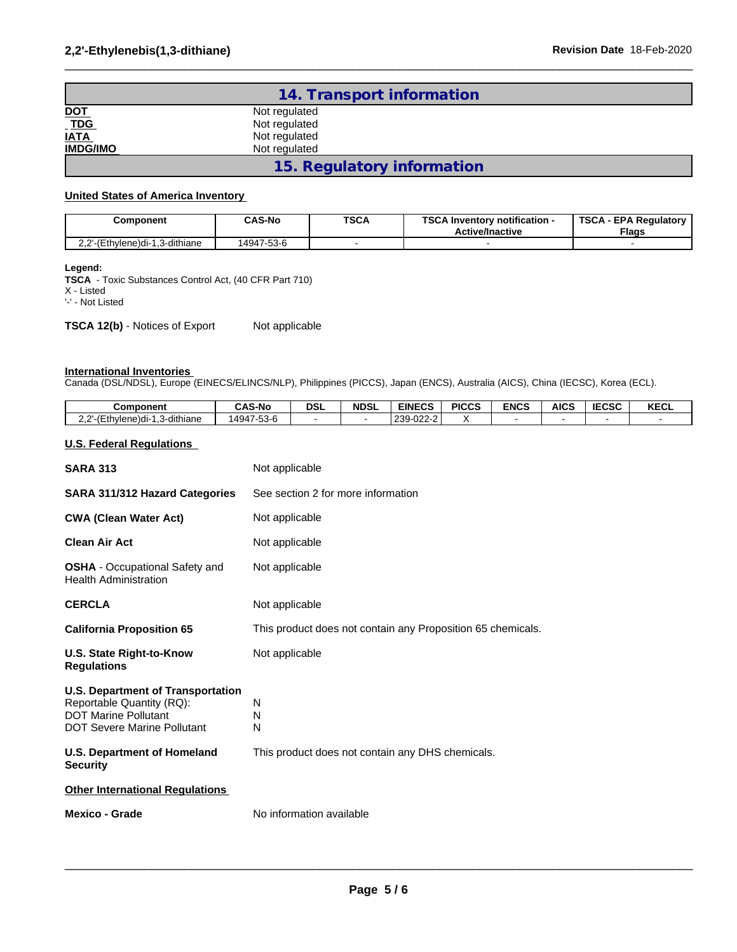|                           | 14. Transport information  |  |
|---------------------------|----------------------------|--|
|                           | Not regulated              |  |
| <u>DOT</u><br>TDG<br>IATA | Not regulated              |  |
|                           | Not regulated              |  |
| <b>IMDG/IMO</b>           | Not regulated              |  |
|                           | 15. Regulatory information |  |

 $\_$  ,  $\_$  ,  $\_$  ,  $\_$  ,  $\_$  ,  $\_$  ,  $\_$  ,  $\_$  ,  $\_$  ,  $\_$  ,  $\_$  ,  $\_$  ,  $\_$  ,  $\_$  ,  $\_$  ,  $\_$  ,  $\_$  ,  $\_$  ,  $\_$  ,  $\_$  ,  $\_$  ,  $\_$  ,  $\_$  ,  $\_$  ,  $\_$  ,  $\_$  ,  $\_$  ,  $\_$  ,  $\_$  ,  $\_$  ,  $\_$  ,  $\_$  ,  $\_$  ,  $\_$  ,  $\_$  ,  $\_$  ,  $\_$  ,

#### **United States of America Inventory**

| Component                                               | <b>CAS-No</b> | <b>TSCA</b> | TCC A L<br><b>∖ Inventorv notification -</b><br>56.A<br><b>Active/Inactive</b> | <b>TSCA</b><br><b>EPA Regulatory</b><br><b>Flags</b> |  |  |
|---------------------------------------------------------|---------------|-------------|--------------------------------------------------------------------------------|------------------------------------------------------|--|--|
| יה ה<br>(Ethylene)di-1<br>I.3-dithiane<br>∕−≀<br>$\sim$ | 14947-53-6    |             |                                                                                |                                                      |  |  |

#### **Legend:**

**TSCA** - Toxic Substances Control Act, (40 CFR Part 710) X - Listed '-' - Not Listed

**TSCA 12(b)** - Notices of Export Not applicable

#### **International Inventories**

Canada (DSL/NDSL), Europe (EINECS/ELINCS/NLP), Philippines (PICCS), Japan (ENCS), Australia (AICS), China (IECSC), Korea (ECL).

| Component                                                                                                                                  | <b>CAS-No</b>  | <b>DSL</b>                                                  | <b>NDSL</b> | <b>EINECS</b> | <b>PICCS</b> | <b>ENCS</b> | <b>AICS</b>    | <b>IECSC</b> | <b>KECL</b>    |
|--------------------------------------------------------------------------------------------------------------------------------------------|----------------|-------------------------------------------------------------|-------------|---------------|--------------|-------------|----------------|--------------|----------------|
| 2,2'-(Ethylene)di-1,3-dithiane                                                                                                             | 14947-53-6     | $\blacksquare$                                              |             | 239-022-2     | х            |             | $\blacksquare$ |              | $\blacksquare$ |
| <b>U.S. Federal Regulations</b>                                                                                                            |                |                                                             |             |               |              |             |                |              |                |
| <b>SARA 313</b>                                                                                                                            | Not applicable |                                                             |             |               |              |             |                |              |                |
| SARA 311/312 Hazard Categories                                                                                                             |                | See section 2 for more information                          |             |               |              |             |                |              |                |
| <b>CWA (Clean Water Act)</b>                                                                                                               |                | Not applicable                                              |             |               |              |             |                |              |                |
| <b>Clean Air Act</b>                                                                                                                       |                | Not applicable                                              |             |               |              |             |                |              |                |
| <b>OSHA</b> - Occupational Safety and<br><b>Health Administration</b>                                                                      |                | Not applicable                                              |             |               |              |             |                |              |                |
| <b>CERCLA</b>                                                                                                                              | Not applicable |                                                             |             |               |              |             |                |              |                |
| <b>California Proposition 65</b>                                                                                                           |                | This product does not contain any Proposition 65 chemicals. |             |               |              |             |                |              |                |
| U.S. State Right-to-Know<br><b>Regulations</b>                                                                                             | Not applicable |                                                             |             |               |              |             |                |              |                |
| <b>U.S. Department of Transportation</b><br>Reportable Quantity (RQ):<br><b>DOT Marine Pollutant</b><br><b>DOT Severe Marine Pollutant</b> | N<br>N<br>N    |                                                             |             |               |              |             |                |              |                |
| <b>U.S. Department of Homeland</b><br><b>Security</b>                                                                                      |                | This product does not contain any DHS chemicals.            |             |               |              |             |                |              |                |
| <b>Other International Regulations</b>                                                                                                     |                |                                                             |             |               |              |             |                |              |                |
| <b>Mexico - Grade</b>                                                                                                                      |                | No information available                                    |             |               |              |             |                |              |                |
|                                                                                                                                            |                |                                                             |             |               |              |             |                |              |                |